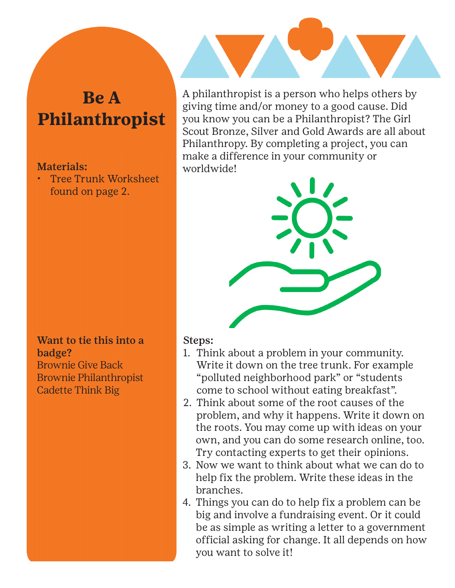## **Be A Philanthropist**

## Materials:

• Tree Trunk Worksheet found on page 2.

Want to tie this into a badge? Brownie Give Back Brownie Philanthropist Cadette Think Big

A philanthropist is a person who helps others by giving time and/or money to a good cause. Did you know you can be a Philanthropist? The Girl Scout Bronze, Silver and Gold Awards are all about Philanthropy. By completing a project, you can make a difference in your community or worldwide!



## Steps:

- 1. Think about a problem in your community. Write it down on the tree trunk. For example "polluted neighborhood park" or "students come to school without eating breakfast".
- 2. Think about some of the root causes of the problem, and why it happens. Write it down on the roots. You may come up with ideas on your own, and you can do some research online, too. Try contacting experts to get their opinions.
- 3. Now we want to think about what we can do to help fix the problem. Write these ideas in the branches.
- 4. Things you can do to help fix a problem can be big and involve a fundraising event. Or it could be as simple as writing a letter to a government official asking for change. It all depends on how you want to solve it!